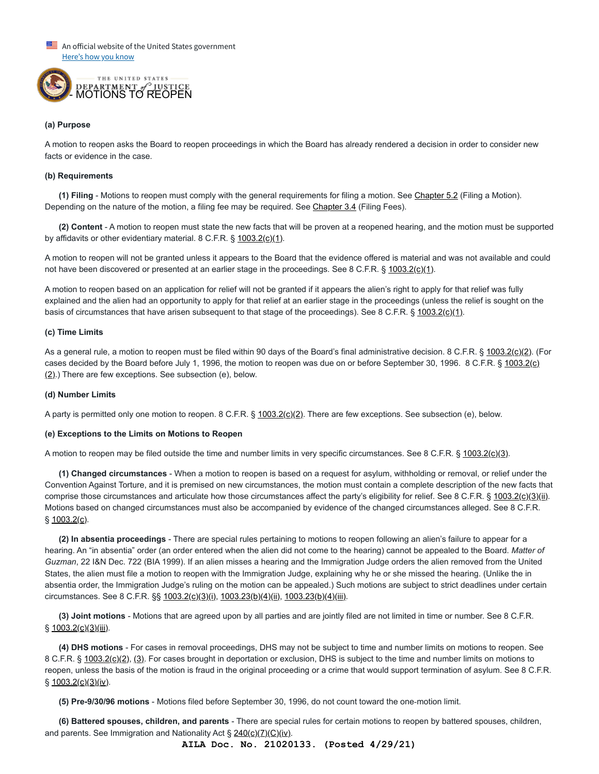An official website of the United States government Here's how you know



#### **(a) Purpose**

A motion to reopen asks the Board to reopen proceedings in which the Board has already rendered a decision in order to consider new facts or evidence in the case.

#### **(b) Requirements**

**(1) Filing** - Motions to reopen must comply with the general requirements for filing a motion. See [Chapter 5.2](https://www.justice.gov/eoir/eoir-policy-manual/iii/5/2) (Filing a Motion). Depending on the nature of the motion, a filing fee may be required. See [Chapter 3.4](https://www.justice.gov/eoir/eoir-policy-manual/iii/3/4) (Filing Fees).

**(2) Content** - A motion to reopen must state the new facts that will be proven at a reopened hearing, and the motion must be supported by affidavits or other evidentiary material. 8 C.F.R.  $\S$  [1003.2\(c\)\(1\).](https://www.ecfr.gov/cgi-bin/text-idx?SID=8c37db7ae59510e45dd7d297b853a6e7&mc=true&node=se8.1.1003_12&rgn=div8)

A motion to reopen will not be granted unless it appears to the Board that the evidence offered is material and was not available and could not have been discovered or presented at an earlier stage in the proceedings. See 8 C.F.R. § [1003.2\(c\)\(1\).](https://www.ecfr.gov/cgi-bin/text-idx?SID=8c37db7ae59510e45dd7d297b853a6e7&mc=true&node=se8.1.1003_12&rgn=div8)

A motion to reopen based on an application for relief will not be granted if it appears the alien's right to apply for that relief was fully explained and the alien had an opportunity to apply for that relief at an earlier stage in the proceedings (unless the relief is sought on the basis of circumstances that have arisen subsequent to that stage of the proceedings). See 8 C.F.R. § [1003.2\(c\)\(1\).](https://www.ecfr.gov/cgi-bin/text-idx?SID=8c37db7ae59510e45dd7d297b853a6e7&mc=true&node=se8.1.1003_12&rgn=div8)

#### **(c) Time Limits**

As a general rule, a motion to reopen must be filed within 90 days of the Board's final administrative decision. 8 C.F.R. § [1003.2\(c\)\(2\)](https://www.ecfr.gov/cgi-bin/text-idx?SID=8c37db7ae59510e45dd7d297b853a6e7&mc=true&node=se8.1.1003_12&rgn=div8). (For [cases decided by the Board before July 1, 1996, the motion to reopen was due on or before September 30, 1996. 8 C.F.R. § 1003.2\(c\)](https://www.ecfr.gov/cgi-bin/text-idx?SID=8c37db7ae59510e45dd7d297b853a6e7&mc=true&node=se8.1.1003_12&rgn=div8) (2).) There are few exceptions. See subsection (e), below.

#### **(d) Number Limits**

A party is permitted only one motion to reopen. 8 C.F.R. § [1003.2\(c\)\(2\)](https://www.ecfr.gov/cgi-bin/text-idx?SID=8c37db7ae59510e45dd7d297b853a6e7&mc=true&node=se8.1.1003_12&rgn=div8). There are few exceptions. See subsection (e), below.

#### **(e) Exceptions to the Limits on Motions to Reopen**

A motion to reopen may be filed outside the time and number limits in very specific circumstances. See 8 C.F.R. § [1003.2\(c\)\(3\)](https://www.ecfr.gov/cgi-bin/text-idx?SID=8c37db7ae59510e45dd7d297b853a6e7&mc=true&node=se8.1.1003_12&rgn=div8).

**(1) Changed circumstances** - When a motion to reopen is based on a request for asylum, withholding or removal, or relief under the Convention Against Torture, and it is premised on new circumstances, the motion must contain a complete description of the new facts that comprise those circumstances and articulate how those circumstances affect the party's eligibility for relief. See 8 C.F.R. § [1003.2\(c\)\(3\)\(ii\).](https://www.ecfr.gov/cgi-bin/text-idx?SID=8c37db7ae59510e45dd7d297b853a6e7&mc=true&node=se8.1.1003_12&rgn=div8) Motions based on changed circumstances must also be accompanied by evidence of the changed circumstances alleged. See 8 C.F.R. § [1003.2\(c\).](https://www.ecfr.gov/cgi-bin/text-idx?SID=8c37db7ae59510e45dd7d297b853a6e7&mc=true&node=se8.1.1003_12&rgn=div8)

**(2) In absentia proceedings** - There are special rules pertaining to motions to reopen following an alien's failure to appear for a hearing. An "in absentia" order (an order entered when the alien did not come to the hearing) cannot be appealed to the Board. *Matter of Guzman*, 22 I&N Dec. 722 (BIA 1999). If an alien misses a hearing and the Immigration Judge orders the alien removed from the United States, the alien must file a motion to reopen with the Immigration Judge, explaining why he or she missed the hearing. (Unlike the in absentia order, the Immigration Judge's ruling on the motion can be appealed.) Such motions are subject to strict deadlines under certain circumstances. See 8 C.F.R. §§ [1003.2\(c\)\(3\)\(i\),](https://www.ecfr.gov/cgi-bin/text-idx?SID=8c37db7ae59510e45dd7d297b853a6e7&mc=true&node=se8.1.1003_12&rgn=div8) [1003.23\(b\)\(4\)\(ii\)](https://www.ecfr.gov/cgi-bin/retrieveECFR?gp=&SID=4d159d23a770d63c6fa561eafc284cb3&mc=true&n=pt8.1.1003&r=PART&ty=HTML#se8.1.1003_123), [1003.23\(b\)\(4\)\(iii\)](https://www.ecfr.gov/cgi-bin/retrieveECFR?gp=&SID=4d159d23a770d63c6fa561eafc284cb3&mc=true&n=pt8.1.1003&r=PART&ty=HTML#se8.1.1003_123).

**(3) Joint motions** - Motions that are agreed upon by all parties and are jointly filed are not limited in time or number. See 8 C.F.R.  $§ 1003.2(c)(3)(iii).$  $§ 1003.2(c)(3)(iii).$ 

**(4) DHS motions** - For cases in removal proceedings, DHS may not be subject to time and number limits on motions to reopen. See 8 C.F.R. § [1003.2\(c\)\(2\)](https://www.ecfr.gov/cgi-bin/text-idx?SID=8c37db7ae59510e45dd7d297b853a6e7&mc=true&node=se8.1.1003_12&rgn=div8), [\(3\)](https://www.ecfr.gov/cgi-bin/text-idx?SID=8c37db7ae59510e45dd7d297b853a6e7&mc=true&node=se8.1.1003_12&rgn=div8). For cases brought in deportation or exclusion, DHS is subject to the time and number limits on motions to reopen, unless the basis of the motion is fraud in the original proceeding or a crime that would support termination of asylum. See 8 C.F.R.  $§ 1003.2(c)(3)(iv).$  $§ 1003.2(c)(3)(iv).$  $§ 1003.2(c)(3)(iv).$ 

**(5) Pre-9/30/96 motions** - Motions filed before September 30, 1996, do not count toward the one‑motion limit.

**(6) Battered spouses, children, and parents** - There are special rules for certain motions to reopen by battered spouses, children, and parents. See Immigration and Nationality Act  $\S 240(c)(7)(C)(iv)$  $\S 240(c)(7)(C)(iv)$ .

**AILA Doc. No. 21020133. (Posted 4/29/21)**